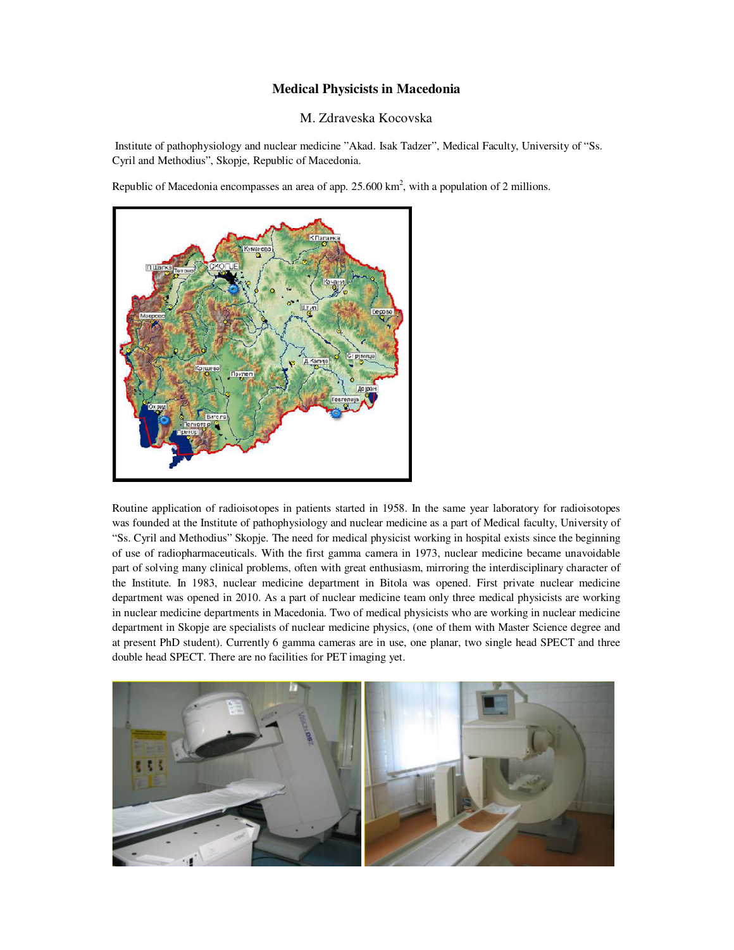## **Medical Physicists in Macedonia**

## M. Zdraveska Kocovska

 Institute of pathophysiology and nuclear medicine "Akad. Isak Tadzer", Medical Faculty, University of "Ss. Cyril and Methodius", Skopje, Republic of Macedonia.

Republic of Macedonia encompasses an area of app.  $25.600 \text{ km}^2$ , with a population of 2 millions.



Routine application of radioisotopes in patients started in 1958. In the same year laboratory for radioisotopes was founded at the Institute of pathophysiology and nuclear medicine as a part of Medical faculty, University of "Ss. Cyril and Methodius" Skopje. The need for medical physicist working in hospital exists since the beginning of use of radiopharmaceuticals. With the first gamma camera in 1973, nuclear medicine became unavoidable part of solving many clinical problems, often with great enthusiasm, mirroring the interdisciplinary character of the Institute. In 1983, nuclear medicine department in Bitola was opened. First private nuclear medicine department was opened in 2010. As a part of nuclear medicine team only three medical physicists are working in nuclear medicine departments in Macedonia. Two of medical physicists who are working in nuclear medicine department in Skopje are specialists of nuclear medicine physics, (one of them with Master Science degree and at present PhD student). Currently 6 gamma cameras are in use, one planar, two single head SPECT and three double head SPECT. There are no facilities for PET imaging yet.